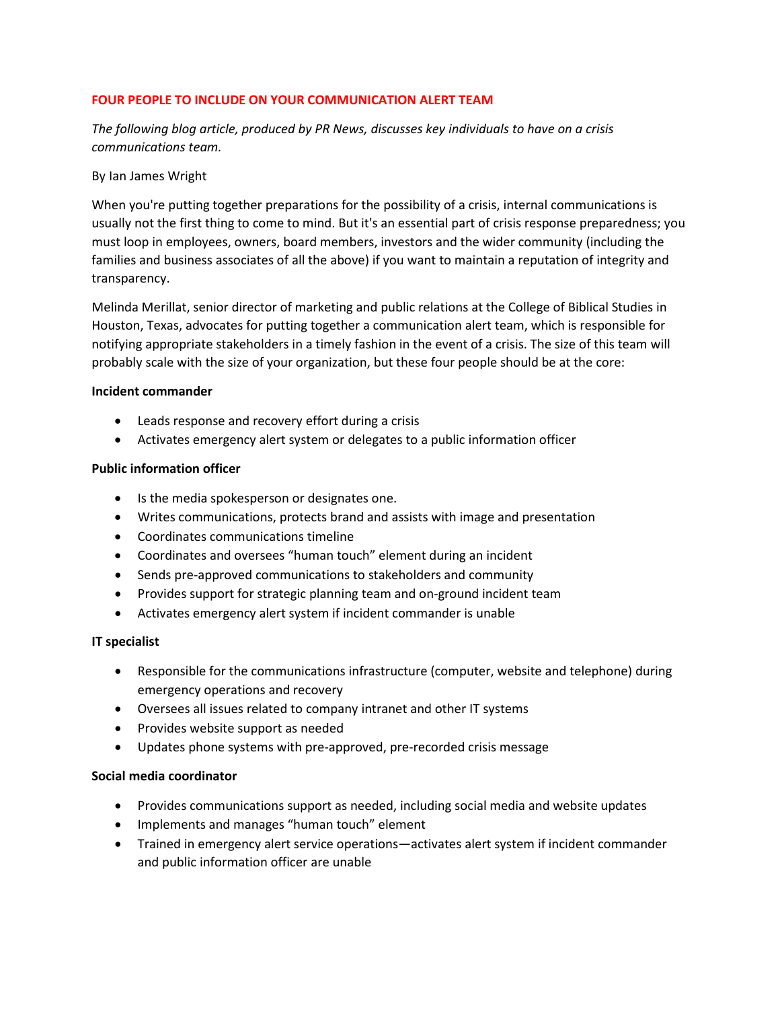# **FOUR PEOPLE TO INCLUDE ON YOUR COMMUNICATION ALERT TEAM**

*The following blog article, produced by PR News, discusses key individuals to have on a crisis communications team.*

#### By Ian James Wright

When you're putting together preparations for the possibility of a crisis, internal communications is usually not the first thing to come to mind. But it's an essential part of crisis response preparedness; you must loop in employees, owners, board members, investors and the wider community (including the families and business associates of all the above) if you want to maintain a reputation of integrity and transparency.

Melinda Merillat, senior director of marketing and public relations at the College of Biblical Studies in Houston, Texas, advocates for putting together a communication alert team, which is responsible for notifying appropriate stakeholders in a timely fashion in the event of a crisis. The size of this team will probably scale with the size of your organization, but these four people should be at the core:

#### **Incident commander**

- Leads response and recovery effort during a crisis
- Activates emergency alert system or delegates to a public information officer

# **Public information officer**

- Is the media spokesperson or designates one.
- Writes communications, protects brand and assists with image and presentation
- Coordinates communications timeline
- Coordinates and oversees "human touch" element during an incident
- Sends pre-approved communications to stakeholders and community
- Provides support for strategic planning team and on-ground incident team
- Activates emergency alert system if incident commander is unable

# **IT specialist**

- Responsible for the communications infrastructure (computer, website and telephone) during emergency operations and recovery
- Oversees all issues related to company intranet and other IT systems
- Provides website support as needed
- Updates phone systems with pre-approved, pre-recorded crisis message

# **Social media coordinator**

- Provides communications support as needed, including social media and website updates
- Implements and manages "human touch" element
- Trained in emergency alert service operations—activates alert system if incident commander and public information officer are unable